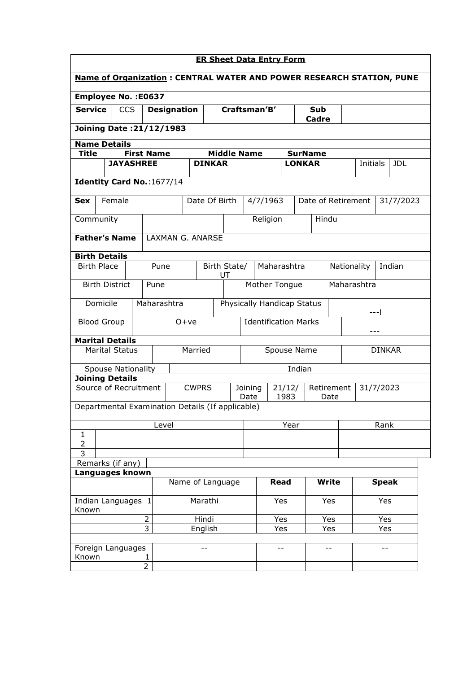| <b>ER Sheet Data Entry Form</b>                                             |                                            |                   |             |                    |               |      |                            |                                        |          |               |                       |  |                 |               |            |  |
|-----------------------------------------------------------------------------|--------------------------------------------|-------------------|-------------|--------------------|---------------|------|----------------------------|----------------------------------------|----------|---------------|-----------------------|--|-----------------|---------------|------------|--|
| <b>Name of Organization: CENTRAL WATER AND POWER RESEARCH STATION, PUNE</b> |                                            |                   |             |                    |               |      |                            |                                        |          |               |                       |  |                 |               |            |  |
| Employee No. : E0637                                                        |                                            |                   |             |                    |               |      |                            |                                        |          |               |                       |  |                 |               |            |  |
| <b>Service</b>                                                              | <b>CCS</b>                                 |                   |             | <b>Designation</b> |               |      |                            | Craftsman'B'<br>Sub<br>Cadre           |          |               |                       |  |                 |               |            |  |
| <b>Joining Date: 21/12/1983</b>                                             |                                            |                   |             |                    |               |      |                            |                                        |          |               |                       |  |                 |               |            |  |
| <b>Name Details</b>                                                         |                                            |                   |             |                    |               |      |                            |                                        |          |               |                       |  |                 |               |            |  |
| <b>Title</b>                                                                |                                            | <b>First Name</b> |             |                    |               |      |                            | <b>Middle Name</b>                     |          |               | <b>SurName</b>        |  |                 |               |            |  |
|                                                                             | <b>JAYASHREE</b>                           |                   |             |                    | <b>DINKAR</b> |      |                            |                                        |          | <b>LONKAR</b> |                       |  | <b>Initials</b> |               | <b>JDL</b> |  |
| Identity Card No.: 1677/14                                                  |                                            |                   |             |                    |               |      |                            |                                        |          |               |                       |  |                 |               |            |  |
| <b>Sex</b>                                                                  | Female                                     |                   |             |                    | Date Of Birth |      |                            | 4/7/1963                               |          |               | Date of Retirement    |  |                 |               | 31/7/2023  |  |
| Community                                                                   |                                            |                   |             |                    |               |      |                            |                                        | Religion |               | Hindu                 |  |                 |               |            |  |
| <b>Father's Name</b>                                                        |                                            |                   |             | LAXMAN G. ANARSE   |               |      |                            |                                        |          |               |                       |  |                 |               |            |  |
| <b>Birth Details</b>                                                        |                                            |                   |             |                    |               |      |                            |                                        |          |               |                       |  |                 |               |            |  |
|                                                                             | <b>Birth Place</b><br>Birth State/<br>Pune |                   |             | UT                 |               |      | Maharashtra                |                                        |          |               | Indian<br>Nationality |  |                 |               |            |  |
| <b>Birth District</b><br>Pune                                               |                                            |                   |             |                    | Mother Tongue |      |                            |                                        |          |               | Maharashtra           |  |                 |               |            |  |
| Domicile                                                                    |                                            |                   | Maharashtra |                    |               |      | Physically Handicap Status |                                        |          |               |                       |  |                 |               |            |  |
| <b>Blood Group</b>                                                          |                                            |                   |             | $O+ve$             |               |      |                            | <b>Identification Marks</b><br>$- - -$ |          |               |                       |  |                 |               |            |  |
| <b>Marital Details</b>                                                      | <b>Marital Status</b>                      |                   |             |                    | Married       |      |                            | Spouse Name                            |          |               |                       |  |                 | <b>DINKAR</b> |            |  |
|                                                                             |                                            |                   |             |                    |               |      |                            |                                        |          |               |                       |  |                 |               |            |  |
|                                                                             | <b>Spouse Nationality</b>                  |                   |             |                    |               |      |                            |                                        |          | Indian        |                       |  |                 |               |            |  |
| <b>Joining Details</b><br>Source of Recruitment                             |                                            |                   |             |                    | <b>CWPRS</b>  |      | 21/12/<br>Joining<br>Date  |                                        |          |               | Retirement<br>Date    |  | 31/7/2023       |               |            |  |
| Departmental Examination Details (If applicable)                            |                                            |                   |             |                    |               |      |                            |                                        | 1983     |               |                       |  |                 |               |            |  |
|                                                                             |                                            |                   | Level       |                    |               |      |                            | Year<br>Rank                           |          |               |                       |  |                 |               |            |  |
| 1                                                                           |                                            |                   |             |                    |               |      |                            |                                        |          |               |                       |  |                 |               |            |  |
| $\overline{2}$                                                              |                                            |                   |             |                    |               |      |                            |                                        |          |               |                       |  |                 |               |            |  |
| 3<br>Remarks (if any)                                                       |                                            |                   |             |                    |               |      |                            |                                        |          |               |                       |  |                 |               |            |  |
|                                                                             |                                            |                   |             |                    |               |      |                            |                                        |          |               |                       |  |                 |               |            |  |
| Languages known<br>Name of Language                                         |                                            |                   |             |                    |               | Read |                            | <b>Write</b>                           |          |               | <b>Speak</b>          |  |                 |               |            |  |
| Indian Languages 1<br>Known                                                 |                                            |                   |             |                    | Marathi       |      |                            |                                        | Yes      |               | Yes                   |  | Yes             |               |            |  |
|                                                                             |                                            | $\overline{2}$    |             |                    | Hindi         |      |                            |                                        | Yes      |               | Yes                   |  |                 | Yes           |            |  |
|                                                                             |                                            | $\overline{3}$    |             |                    | English       |      |                            |                                        | Yes      |               | Yes                   |  |                 | Yes           |            |  |
| Foreign Languages                                                           |                                            |                   |             |                    | $- -$         |      |                            |                                        | $- -$    |               | $- -$                 |  |                 | $- -$         |            |  |
| Known                                                                       |                                            | $\overline{2}$    | 1           |                    |               |      |                            |                                        |          |               |                       |  |                 |               |            |  |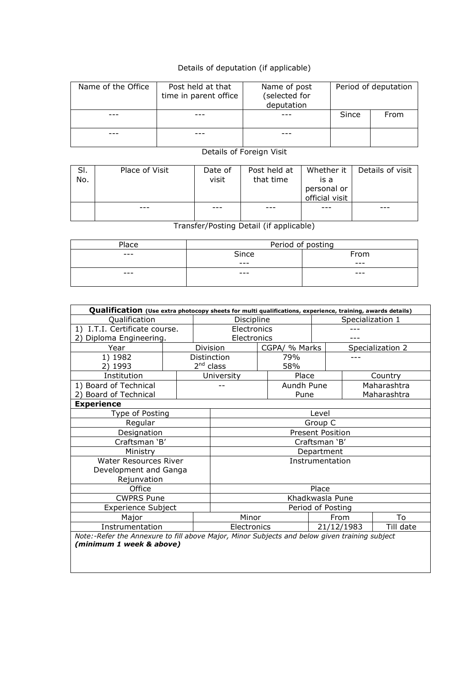## Details of deputation (if applicable)

| Name of the Office | Post held at that<br>time in parent office |  | Period of deputation |      |  |
|--------------------|--------------------------------------------|--|----------------------|------|--|
|                    |                                            |  | Since                | From |  |
|                    |                                            |  |                      |      |  |

## Details of Foreign Visit

| SI.<br>No. | Place of Visit | Date of<br>visit | Post held at<br>that time | Whether it 丨<br>is a          | Details of visit |
|------------|----------------|------------------|---------------------------|-------------------------------|------------------|
|            |                |                  |                           | personal or<br>official visit |                  |
|            |                | ---              |                           |                               |                  |

Transfer/Posting Detail (if applicable)

| Place | Period of posting |      |  |  |  |  |
|-------|-------------------|------|--|--|--|--|
| ---   | Since             | From |  |  |  |  |
|       | ---               | ---  |  |  |  |  |
| ---   | ---               | ---  |  |  |  |  |
|       |                   |      |  |  |  |  |

| Qualification (Use extra photocopy sheets for multi qualifications, experience, training, awards details) |                   |             |                                                                                               |                           |               |      |                  |             |  |  |
|-----------------------------------------------------------------------------------------------------------|-------------------|-------------|-----------------------------------------------------------------------------------------------|---------------------------|---------------|------|------------------|-------------|--|--|
| Qualification                                                                                             |                   | Discipline  |                                                                                               | Specialization 1          |               |      |                  |             |  |  |
| 1) I.T.I. Certificate course.                                                                             |                   | Electronics |                                                                                               |                           |               |      |                  |             |  |  |
| Diploma Engineering.<br>2)                                                                                |                   |             | Electronics                                                                                   |                           |               |      |                  |             |  |  |
| Year                                                                                                      |                   |             | Division                                                                                      |                           | CGPA/ % Marks |      | Specialization 2 |             |  |  |
| 1) 1982                                                                                                   |                   |             | Distinction                                                                                   |                           | 79%           |      |                  |             |  |  |
| 2) 1993                                                                                                   |                   |             | 2 <sup>nd</sup> class                                                                         |                           | 58%           |      |                  |             |  |  |
| Institution                                                                                               |                   |             | University                                                                                    |                           | Place         |      |                  | Country     |  |  |
| 1) Board of Technical                                                                                     |                   |             |                                                                                               |                           | Aundh Pune    |      |                  | Maharashtra |  |  |
| 2) Board of Technical                                                                                     |                   |             |                                                                                               |                           | Pune          |      |                  | Maharashtra |  |  |
| <b>Experience</b>                                                                                         |                   |             |                                                                                               |                           |               |      |                  |             |  |  |
| Type of Posting                                                                                           |                   |             | Level                                                                                         |                           |               |      |                  |             |  |  |
| Regular                                                                                                   |                   | Group C     |                                                                                               |                           |               |      |                  |             |  |  |
| Designation                                                                                               |                   |             | <b>Present Position</b>                                                                       |                           |               |      |                  |             |  |  |
| Craftsman 'B'                                                                                             |                   |             | Craftsman 'B'                                                                                 |                           |               |      |                  |             |  |  |
| Ministry                                                                                                  |                   |             | Department                                                                                    |                           |               |      |                  |             |  |  |
| <b>Water Resources River</b>                                                                              |                   |             | Instrumentation                                                                               |                           |               |      |                  |             |  |  |
| Development and Ganga                                                                                     |                   |             |                                                                                               |                           |               |      |                  |             |  |  |
| Rejunvation                                                                                               |                   |             |                                                                                               |                           |               |      |                  |             |  |  |
| Office                                                                                                    | Place             |             |                                                                                               |                           |               |      |                  |             |  |  |
| <b>CWPRS Pune</b>                                                                                         | Khadkwasla Pune   |             |                                                                                               |                           |               |      |                  |             |  |  |
| <b>Experience Subject</b>                                                                                 | Period of Posting |             |                                                                                               |                           |               |      |                  |             |  |  |
| Major                                                                                                     |                   |             | Minor                                                                                         |                           |               | From |                  | To          |  |  |
| Instrumentation                                                                                           |                   |             |                                                                                               | Electronics<br>21/12/1983 |               |      | Till date        |             |  |  |
| $\cdots$ $\cdots$ $\cdots$ $\cdots$                                                                       |                   |             | Note:-Refer the Annexure to fill above Major, Minor Subjects and below given training subject |                           |               |      |                  |             |  |  |

*(minimum 1 week & above)*